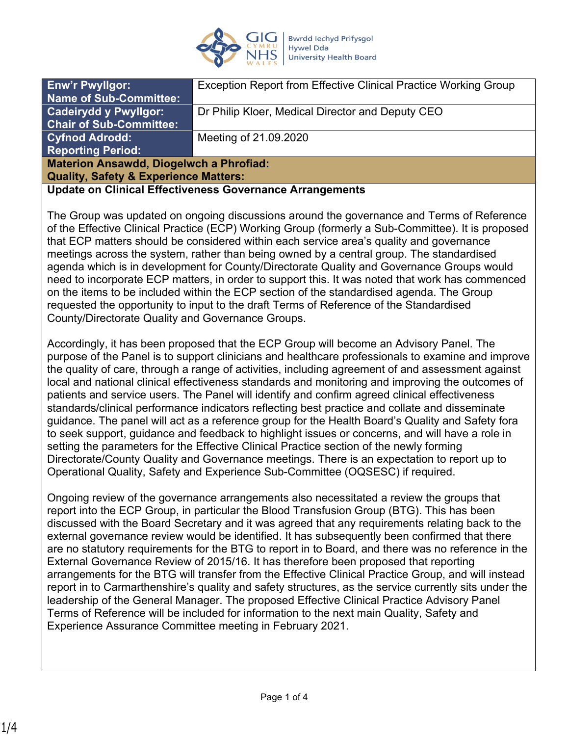

| <b>Enw'r Pwyllgor:</b>                                   | Exception Report from Effective Clinical Practice Working Group |
|----------------------------------------------------------|-----------------------------------------------------------------|
| <b>Name of Sub-Committee:</b>                            |                                                                 |
| <b>Cadeirydd y Pwyllgor:</b>                             | Dr Philip Kloer, Medical Director and Deputy CEO                |
| <b>Chair of Sub-Committee:</b>                           |                                                                 |
| <b>Cyfnod Adrodd:</b>                                    | Meeting of 21.09.2020                                           |
| <b>Reporting Period:</b>                                 |                                                                 |
| <b>Materion Ansawdd, Diogelwch a Phrofiad:</b>           |                                                                 |
| <b>Quality, Safety &amp; Experience Matters:</b>         |                                                                 |
| Update on Clinical Effectiveness Governance Arrangements |                                                                 |

The Group was updated on ongoing discussions around the governance and Terms of Reference of the Effective Clinical Practice (ECP) Working Group (formerly a Sub-Committee). It is proposed that ECP matters should be considered within each service area's quality and governance meetings across the system, rather than being owned by a central group. The standardised agenda which is in development for County/Directorate Quality and Governance Groups would need to incorporate ECP matters, in order to support this. It was noted that work has commenced on the items to be included within the ECP section of the standardised agenda. The Group requested the opportunity to input to the draft Terms of Reference of the Standardised County/Directorate Quality and Governance Groups.

Accordingly, it has been proposed that the ECP Group will become an Advisory Panel. The purpose of the Panel is to support clinicians and healthcare professionals to examine and improve the quality of care, through a range of activities, including agreement of and assessment against local and national clinical effectiveness standards and monitoring and improving the outcomes of patients and service users. The Panel will identify and confirm agreed clinical effectiveness standards/clinical performance indicators reflecting best practice and collate and disseminate guidance. The panel will act as a reference group for the Health Board's Quality and Safety fora to seek support, guidance and feedback to highlight issues or concerns, and will have a role in setting the parameters for the Effective Clinical Practice section of the newly forming Directorate/County Quality and Governance meetings. There is an expectation to report up to Operational Quality, Safety and Experience Sub-Committee (OQSESC) if required.

Ongoing review of the governance arrangements also necessitated a review the groups that report into the ECP Group, in particular the Blood Transfusion Group (BTG). This has been discussed with the Board Secretary and it was agreed that any requirements relating back to the external governance review would be identified. It has subsequently been confirmed that there are no statutory requirements for the BTG to report in to Board, and there was no reference in the External Governance Review of 2015/16. It has therefore been proposed that reporting arrangements for the BTG will transfer from the Effective Clinical Practice Group, and will instead report in to Carmarthenshire's quality and safety structures, as the service currently sits under the leadership of the General Manager. The proposed Effective Clinical Practice Advisory Panel Terms of Reference will be included for information to the next main Quality, Safety and Experience Assurance Committee meeting in February 2021.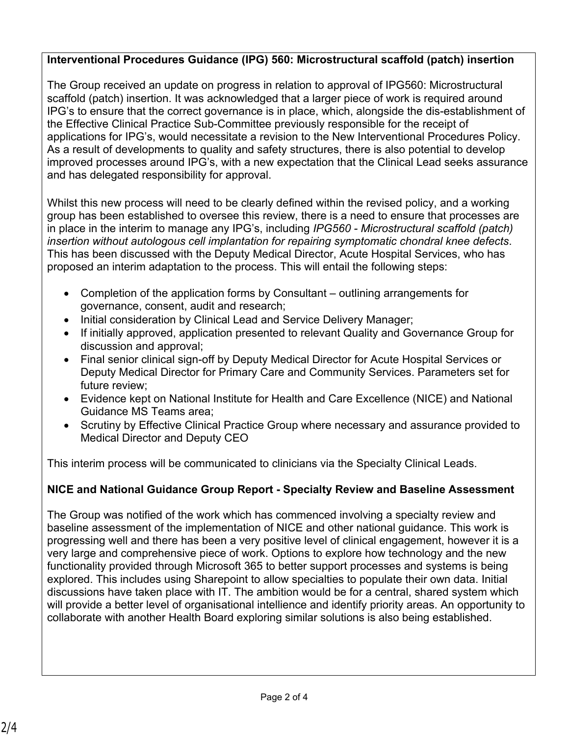#### **Interventional Procedures Guidance (IPG) 560: Microstructural scaffold (patch) insertion**

The Group received an update on progress in relation to approval of IPG560: Microstructural scaffold (patch) insertion. It was acknowledged that a larger piece of work is required around IPG's to ensure that the correct governance is in place, which, alongside the dis-establishment of the Effective Clinical Practice Sub-Committee previously responsible for the receipt of applications for IPG's, would necessitate a revision to the New Interventional Procedures Policy. As a result of developments to quality and safety structures, there is also potential to develop improved processes around IPG's, with a new expectation that the Clinical Lead seeks assurance and has delegated responsibility for approval.

Whilst this new process will need to be clearly defined within the revised policy, and a working group has been established to oversee this review, there is a need to ensure that processes are in place in the interim to manage any IPG's, including *IPG560 - Microstructural scaffold (patch) insertion without autologous cell implantation for repairing symptomatic chondral knee defects*. This has been discussed with the Deputy Medical Director, Acute Hospital Services, who has proposed an interim adaptation to the process. This will entail the following steps:

- Completion of the application forms by Consultant outlining arrangements for governance, consent, audit and research;
- Initial consideration by Clinical Lead and Service Delivery Manager;
- If initially approved, application presented to relevant Quality and Governance Group for discussion and approval;
- Final senior clinical sign-off by Deputy Medical Director for Acute Hospital Services or Deputy Medical Director for Primary Care and Community Services. Parameters set for future review;
- Evidence kept on National Institute for Health and Care Excellence (NICE) and National Guidance MS Teams area;
- Scrutiny by Effective Clinical Practice Group where necessary and assurance provided to Medical Director and Deputy CEO

This interim process will be communicated to clinicians via the Specialty Clinical Leads.

## **NICE and National Guidance Group Report - Specialty Review and Baseline Assessment**

The Group was notified of the work which has commenced involving a specialty review and baseline assessment of the implementation of NICE and other national guidance. This work is progressing well and there has been a very positive level of clinical engagement, however it is a very large and comprehensive piece of work. Options to explore how technology and the new functionality provided through Microsoft 365 to better support processes and systems is being explored. This includes using Sharepoint to allow specialties to populate their own data. Initial discussions have taken place with IT. The ambition would be for a central, shared system which will provide a better level of organisational intellience and identify priority areas. An opportunity to collaborate with another Health Board exploring similar solutions is also being established.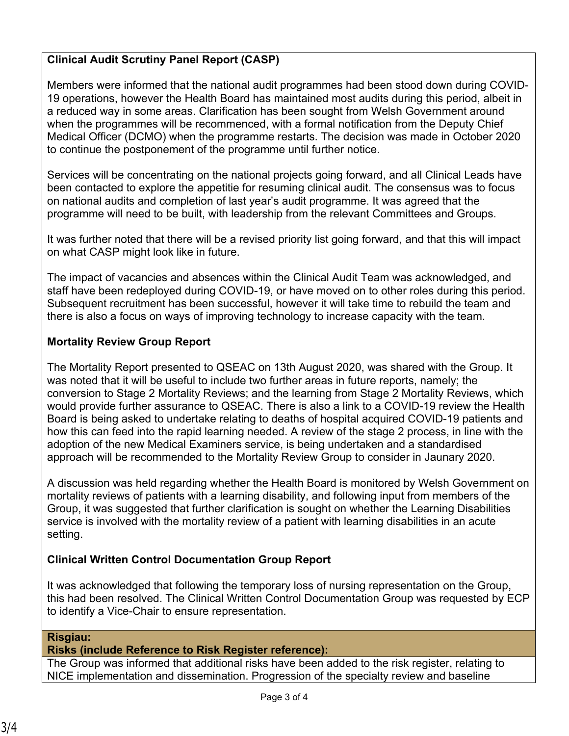## **Clinical Audit Scrutiny Panel Report (CASP)**

Members were informed that the national audit programmes had been stood down during COVID-19 operations, however the Health Board has maintained most audits during this period, albeit in a reduced way in some areas. Clarification has been sought from Welsh Government around when the programmes will be recommenced, with a formal notification from the Deputy Chief Medical Officer (DCMO) when the programme restarts. The decision was made in October 2020 to continue the postponement of the programme until further notice.

Services will be concentrating on the national projects going forward, and all Clinical Leads have been contacted to explore the appetitie for resuming clinical audit. The consensus was to focus on national audits and completion of last year's audit programme. It was agreed that the programme will need to be built, with leadership from the relevant Committees and Groups.

It was further noted that there will be a revised priority list going forward, and that this will impact on what CASP might look like in future.

The impact of vacancies and absences within the Clinical Audit Team was acknowledged, and staff have been redeployed during COVID-19, or have moved on to other roles during this period. Subsequent recruitment has been successful, however it will take time to rebuild the team and there is also a focus on ways of improving technology to increase capacity with the team.

#### **Mortality Review Group Report**

The Mortality Report presented to QSEAC on 13th August 2020, was shared with the Group. It was noted that it will be useful to include two further areas in future reports, namely; the conversion to Stage 2 Mortality Reviews; and the learning from Stage 2 Mortality Reviews, which would provide further assurance to QSEAC. There is also a link to a COVID-19 review the Health Board is being asked to undertake relating to deaths of hospital acquired COVID-19 patients and how this can feed into the rapid learning needed. A review of the stage 2 process, in line with the adoption of the new Medical Examiners service, is being undertaken and a standardised approach will be recommended to the Mortality Review Group to consider in Jaunary 2020.

A discussion was held regarding whether the Health Board is monitored by Welsh Government on mortality reviews of patients with a learning disability, and following input from members of the Group, it was suggested that further clarification is sought on whether the Learning Disabilities service is involved with the mortality review of a patient with learning disabilities in an acute setting.

### **Clinical Written Control Documentation Group Report**

It was acknowledged that following the temporary loss of nursing representation on the Group, this had been resolved. The Clinical Written Control Documentation Group was requested by ECP to identify a Vice-Chair to ensure representation.

#### **Risgiau:**

#### **Risks (include Reference to Risk Register reference):**

The Group was informed that additional risks have been added to the risk register, relating to NICE implementation and dissemination. Progression of the specialty review and baseline